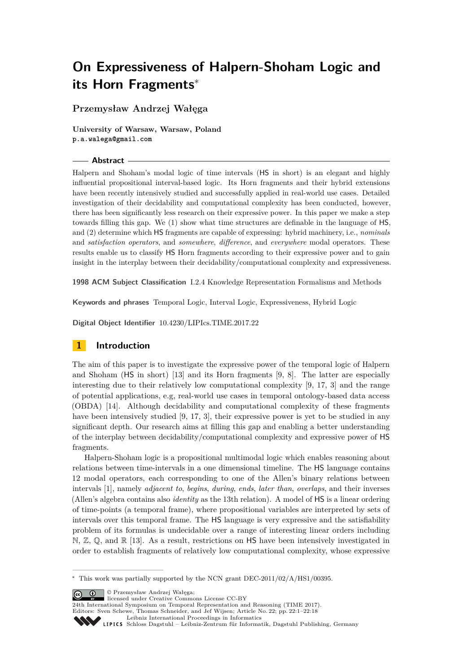# **On Expressiveness of Halpern-Shoham Logic and its Horn Fragments**<sup>∗</sup>

**Przemysław Andrzej Wałęga**

**University of Warsaw, Warsaw, Poland p.a.walega@gmail.com**

#### **Abstract**

Halpern and Shoham's modal logic of time intervals (HS in short) is an elegant and highly influential propositional interval-based logic. Its Horn fragments and their hybrid extensions have been recently intensively studied and successfully applied in real-world use cases. Detailed investigation of their decidability and computational complexity has been conducted, however, there has been significantly less research on their expressive power. In this paper we make a step towards filling this gap. We (1) show what time structures are definable in the language of HS, and (2) determine which HS fragments are capable of expressing: hybrid machinery, i.e., *nominals* and *satisfaction operators*, and *somewhere*, *difference*, and *everywhere* modal operators. These results enable us to classify HS Horn fragments according to their expressive power and to gain insight in the interplay between their decidability/computational complexity and expressiveness.

**1998 ACM Subject Classification** I.2.4 Knowledge Representation Formalisms and Methods

**Keywords and phrases** Temporal Logic, Interval Logic, Expressiveness, Hybrid Logic

**Digital Object Identifier** [10.4230/LIPIcs.TIME.2017.22](http://dx.doi.org/10.4230/LIPIcs.TIME.2017.22)

#### **1 Introduction**

The aim of this paper is to investigate the expressive power of the temporal logic of Halpern and Shoham (HS in short) [\[13\]](#page-14-0) and its Horn fragments [\[9,](#page-14-1) [8\]](#page-14-2). The latter are especially interesting due to their relatively low computational complexity [\[9,](#page-14-1) [17,](#page-15-0) [3\]](#page-14-3) and the range of potential applications, e.g, real-world use cases in temporal ontology-based data access (OBDA) [\[14\]](#page-14-4). Although decidability and computational complexity of these fragments have been intensively studied [\[9,](#page-14-1) [17,](#page-15-0) [3\]](#page-14-3), their expressive power is yet to be studied in any significant depth. Our research aims at filling this gap and enabling a better understanding of the interplay between decidability/computational complexity and expressive power of HS fragments.

Halpern-Shoham logic is a propositional multimodal logic which enables reasoning about relations between time-intervals in a one dimensional timeline. The HS language contains 12 modal operators, each corresponding to one of the Allen's binary relations between intervals [\[1\]](#page-14-5), namely *adjacent to*, *begins*, *during*, *ends*, *later than*, *overlaps*, and their inverses (Allen's algebra contains also *identity* as the 13th relation). A model of HS is a linear ordering of time-points (a temporal frame), where propositional variables are interpreted by sets of intervals over this temporal frame. The HS language is very expressive and the satisfiability problem of its formulas is undecidable over a range of interesting linear orders including  $\mathbb{N}, \mathbb{Z}, \mathbb{Q}, \text{ and } \mathbb{R}$  [\[13\]](#page-14-0). As a result, restrictions on HS have been intensively investigated in order to establish fragments of relatively low computational complexity, whose expressive

© Przemysław Andrzej Wałęga;

licensed under Creative Commons License CC-BY

24th International Symposium on Temporal Representation and Reasoning (TIME 2017). Editors: Sven Schewe, Thomas Schneider, and Jef Wijsen; Article No. 22; pp. 22:1–22[:18](#page-17-0)

[Leibniz International Proceedings in Informatics](http://www.dagstuhl.de/lipics/)



<sup>∗</sup> This work was partially supported by the NCN grant DEC-2011/02/A/HS1/00395.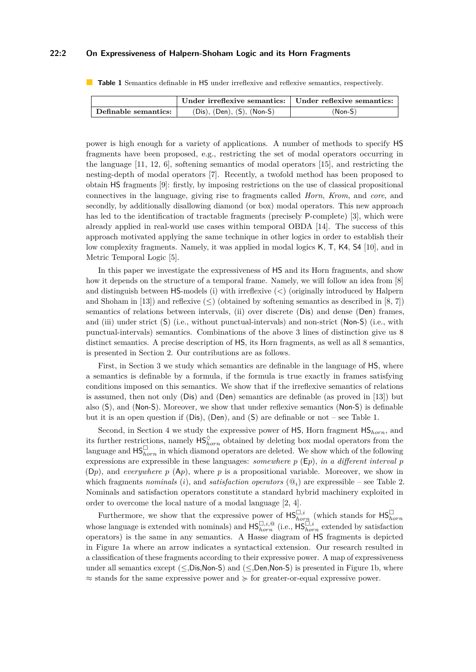#### **22:2 On Expressiveness of Halpern-Shoham Logic and its Horn Fragments**

<span id="page-1-0"></span>**Table 1** Semantics definable in HS under irreflexive and reflexive semantics, respectively.

|                              | Under irreflexive semantics:   Under reflexive semantics: |           |
|------------------------------|-----------------------------------------------------------|-----------|
| $\perp$ Definable semantics: | $(Dis)$ , $(Den)$ , $(S)$ , $(Non-S)$                     | $(Non-S)$ |

power is high enough for a variety of applications. A number of methods to specify HS fragments have been proposed, e.g., restricting the set of modal operators occurring in the language [\[11,](#page-14-6) [12,](#page-14-7) [6\]](#page-14-8), softening semantics of modal operators [\[15\]](#page-15-1), and restricting the nesting-depth of modal operators [\[7\]](#page-14-9). Recently, a twofold method has been proposed to obtain HS fragments [\[9\]](#page-14-1): firstly, by imposing restrictions on the use of classical propositional connectives in the language, giving rise to fragments called *Horn*, *Krom*, and *core*, and secondly, by additionally disallowing diamond (or box) modal operators. This new approach has led to the identification of tractable fragments (precisely P-complete) [\[3\]](#page-14-3), which were already applied in real-world use cases within temporal OBDA [\[14\]](#page-14-4). The success of this approach motivated applying the same technique in other logics in order to establish their low complexity fragments. Namely, it was applied in modal logics K, T, K4, S4 [\[10\]](#page-14-10), and in Metric Temporal Logic [\[5\]](#page-14-11).

In this paper we investigate the expressiveness of HS and its Horn fragments, and show how it depends on the structure of a temporal frame. Namely, we will follow an idea from [\[8\]](#page-14-2) and distinguish between HS-models (i) with irreflexive (*<*) (originally introduced by Halpern and Shoham in [\[13\]](#page-14-0)) and reflexive  $(\leq)$  (obtained by softening semantics as described in [\[8,](#page-14-2) [7\]](#page-14-9)) semantics of relations between intervals, (ii) over discrete (Dis) and dense (Den) frames, and (iii) under strict (S) (i.e., without punctual-intervals) and non-strict (Non-S) (i.e., with punctual-intervals) semantics. Combinations of the above 3 lines of distinction give us 8 distinct semantics. A precise description of HS, its Horn fragments, as well as all 8 semantics, is presented in Section [2.](#page-2-0) Our contributions are as follows.

First, in Section [3](#page-5-0) we study which semantics are definable in the language of HS, where a semantics is definable by a formula, if the formula is true exactly in frames satisfying conditions imposed on this semantics. We show that if the irreflexive semantics of relations is assumed, then not only (Dis) and (Den) semantics are definable (as proved in [\[13\]](#page-14-0)) but also (S), and (Non-S). Moreover, we show that under reflexive semantics (Non-S) is definable but it is an open question if  $(Dis)$ ,  $(Den)$ , and  $(S)$  are definable or not – see Table [1.](#page-1-0)

Second, in Section [4](#page-7-0) we study the expressive power of HS, Horn fragment HS*horn*, and its further restrictions, namely  $HS_{horn}^{\lozenge}$  obtained by deleting box modal operators from the language and  $\mathsf{HS}_{horn}^{\square}$  in which diamond operators are deleted. We show which of the following expressions are expressible in these languages: *somewhere p* (E*p*), *in a different interval p*  $(Dp)$ , and *everywhere*  $p(Ap)$ , where  $p$  is a propositional variable. Moreover, we show in which fragments *nominals* (*i*), and *satisfaction operators*  $(\mathbb{Q}_i)$  are expressible – see Table [2.](#page-2-1) Nominals and satisfaction operators constitute a standard hybrid machinery exploited in order to overcome the local nature of a modal language [\[2,](#page-14-12) [4\]](#page-14-13).

Furthermore, we show that the expressive power of  $\mathsf{HS}_{horn}^{\Box, i}$  (which stands for  $\mathsf{HS}_{horn}^{\Box}$  whose language is extended with nominals) and  $\mathsf{HS}_{horn}^{\Box, i, \mathbb{Q}}$  (i.e.,  $\mathsf{HS}_{horn}^{\Box, i}$  extended by satisfaction operators) is the same in any semantics. A Hasse diagram of HS fragments is depicted in Figure [1a](#page-2-2) where an arrow indicates a syntactical extension. Our research resulted in a classification of these fragments according to their expressive power. A map of expressiveness under all semantics except  $(\leq, Dis, Non-S)$  and  $(\leq, Den, Non-S)$  is presented in Figure [1b,](#page-2-2) where  $\approx$  stands for the same expressive power and  $\succcurlyeq$  for greater-or-equal expressive power.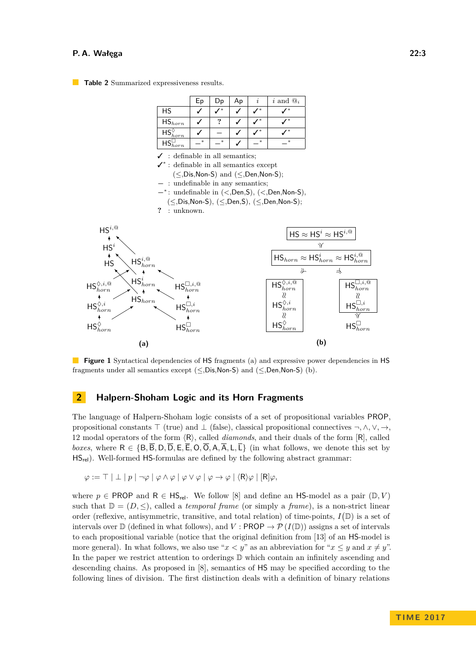#### **P. A. Wałęga 22:3**

<span id="page-2-1"></span>**Table 2** Summarized expressiveness results.

<span id="page-2-2"></span>

|                                                                          |                                                              | Ep     | Dp                                             | Ap | i              | $i$ and $\mathcal{Q}_i$                                                                      |                                                                                                |
|--------------------------------------------------------------------------|--------------------------------------------------------------|--------|------------------------------------------------|----|----------------|----------------------------------------------------------------------------------------------|------------------------------------------------------------------------------------------------|
|                                                                          | <b>HS</b>                                                    | ✓      | $\checkmark^*$                                 | ✓  | $\checkmark^*$ | ✓*                                                                                           |                                                                                                |
|                                                                          | $\mathsf{HS}_{horn}$                                         | ✓      | ?                                              | ✓  | $\checkmark^*$ | $\checkmark^*$                                                                               |                                                                                                |
|                                                                          | $\mathsf{HS}_{horn}^{\lozenge}$                              | ✓      |                                                | ✓  | $\checkmark^*$ | $\checkmark^*$                                                                               |                                                                                                |
|                                                                          | $\mathsf{HS}_{horn}^\square$                                 | $\ast$ | $\ast$                                         | ✓  | ∗              | $-^\ast$                                                                                     |                                                                                                |
|                                                                          | $\checkmark$ : definable in all semantics;                   |        |                                                |    |                |                                                                                              |                                                                                                |
|                                                                          | $\checkmark$ : definable in all semantics except             |        |                                                |    |                |                                                                                              |                                                                                                |
|                                                                          |                                                              |        | $(\leq, Dis, Non-S)$ and $(\leq, Den, Non-S);$ |    |                |                                                                                              |                                                                                                |
|                                                                          | $-$ : undefinable in any semantics;                          |        |                                                |    |                |                                                                                              |                                                                                                |
|                                                                          |                                                              |        |                                                |    |                | $-$ *: undefinable in $(<, Den, S)$ , $(<, Den, Non-S)$ ,                                    |                                                                                                |
|                                                                          |                                                              |        |                                                |    |                | $(\leq, \text{Dis}, \text{Non-S}), (\leq, \text{Den}, S), (\leq, \text{Den}, \text{Non-S});$ |                                                                                                |
|                                                                          | $\overline{\cdot}$<br>: unknown.                             |        |                                                |    |                |                                                                                              |                                                                                                |
|                                                                          |                                                              |        |                                                |    |                |                                                                                              |                                                                                                |
| $\mathsf{HS}^{i,\mathbb{Q}}$                                             |                                                              |        |                                                |    |                |                                                                                              | $HS \approx HS^i \approx HS^{i,\textcircled{a}}$                                               |
| HS <sup>i</sup>                                                          |                                                              |        |                                                |    |                |                                                                                              | V                                                                                              |
| ${\sf HS}_{horn}^{i, \mathsf{Q}}$<br><b>HS</b>                           |                                                              |        |                                                |    |                |                                                                                              | $\mathsf{HS}_{horn} \approx \mathsf{HS}_{horn}^{i} \approx \mathsf{HS}_{horn}^{i, \mathsf{Q}}$ |
|                                                                          |                                                              |        |                                                |    |                | ル                                                                                            | $\preccurlyeq$                                                                                 |
| $\mathsf{HS}_{horn}^i$<br>$\mathsf{HS}_{horn}^{\lozenge, i, \mathbb{Q}}$ | $\mathsf{HS}^{\square,i,\mathbb{Q}}_{\scriptscriptstyle{k}}$ | horn   |                                                |    |                | $\overline{\mathsf{HS}_{horn}^{\lozenge, i, \mathsf{Q}}}$<br>₹                               | $\mathsf{HS}^{\square,\overline{i, \mathbb{Q}}}_\iota$<br>$'$ horn                             |
| $\mathsf{HS}_{horn}$<br>${\sf HS}_{horn}^{\lozenge,i}$                   | $\mathsf{HS}^{\square,i}_\iota$                              | horn   |                                                |    |                | ${\sf HS}_{horn}^{\lozenge,i}$                                                               | ₹<br>${\sf HS}_{horn}^{\square,i}$                                                             |
| $\mathsf{HS}_{\mathit{horn}}^\lozenge$                                   | 4<br>$\mathsf{HS}_{horn}^\sqcup$                             |        |                                                |    |                | $\mathcal{V}$<br>$\mathsf{HS}_{horn}^{\lozenge}$                                             | $\overline{\gamma}$<br>$\mathsf{HS}_{horn}^\square$                                            |
| (a)                                                                      |                                                              |        |                                                |    |                |                                                                                              | (b)                                                                                            |

**Figure 1** Syntactical dependencies of HS fragments [\(a\)](#page-2-2) and expressive power dependencies in HS fragments under all semantics except  $(\le, Dis, Non-S)$  and  $(\le, Den, Non-S)$  [\(b\)](#page-2-2).

## <span id="page-2-0"></span>**2 Halpern-Shoham Logic and its Horn Fragments**

The language of Halpern-Shoham logic consists of a set of propositional variables PROP, propositional constants  $\top$  (true) and  $\bot$  (false), classical propositional connectives  $\neg, \wedge, \vee, \rightarrow$ , 12 modal operators of the form  $\langle R \rangle$ , called *diamonds*, and their duals of the form  $[R]$ , called *boxes*, where  $R \in \{B, B, D, D, E, E, O, O, A, A, L, L\}$  (in what follows, we denote this set by HSrel). Well-formed HS-formulas are defined by the following abstract grammar:

$$
\varphi := \top \mid \bot \mid p \mid \neg \varphi \mid \varphi \wedge \varphi \mid \varphi \vee \varphi \mid \varphi \rightarrow \varphi \mid \langle R \rangle \varphi \mid [R] \varphi,
$$

where  $p \in \text{PROP}$  and  $R \in \text{HS}_{\text{rel}}$ . We follow [\[8\]](#page-14-2) and define an HS-model as a pair  $(\mathbb{D}, V)$ such that  $\mathbb{D} = (D, \leq)$ , called a *temporal frame* (or simply a *frame*), is a non-strict linear order (reflexive, antisymmetric, transitive, and total relation) of time-points,  $I(\mathbb{D})$  is a set of intervals over  $\mathbb{D}$  (defined in what follows), and *V* : PROP  $\rightarrow \mathcal{P}(I(\mathbb{D}))$  assigns a set of intervals to each propositional variable (notice that the original definition from [\[13\]](#page-14-0) of an HS-model is more general). In what follows, we also use " $x < y$ " as an abbreviation for " $x \leq y$  and  $x \neq y$ ". In the paper we restrict attention to orderings D which contain an infinitely ascending and descending chains. As proposed in [\[8\]](#page-14-2), semantics of HS may be specified according to the following lines of division. The first distinction deals with a definition of binary relations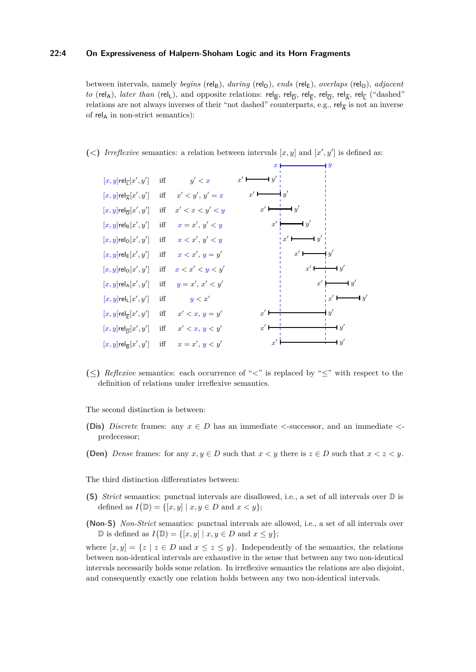#### **22:4 On Expressiveness of Halpern-Shoham Logic and its Horn Fragments**

between intervals, namely *begins* (rel<sub>B</sub>), *during* (rel<sub>D</sub>), *ends* (rel<sub>E</sub>), *overlaps* (rel<sub>O</sub>), *adjacent to* (rel<sub>A</sub>), *later than* (rel<sub>L</sub>), and opposite relations: rel<sub>B</sub>, rel<sub>B</sub>, rel<sub>E</sub>, rel<sub>O</sub>, rel<sub>A</sub>, rel<sub>L</sub> ("dashed" relations are not always inverses of their "not dashed" counterparts, e.g.,  $\mathsf{rel}_{\overline{A}}$  is not an inverse of  $rel_A$  in non-strict semantics):

(<) Irreflexive semantics: a relation between intervals  $[x, y]$  and  $[x', y']$  is defined as:

|                                                 |     |                   | $\boldsymbol{x}$                             |
|-------------------------------------------------|-----|-------------------|----------------------------------------------|
| $[x,y]$ rel $[x',y']$                           | iff | y' < x            | -l $y'$<br>x'                                |
| $[x, y]$ rel $\frac{1}{A}[x', y']$              | iff | $x' < y', y' = x$ | $\mathsf{I} \, y'$<br>$x'$ $\vdash$          |
| $[x, y]$ rel $_{\overline{O}}[x', y']$          | iff | x' < x < y' < y   | -l $y^{\prime}$<br>$x' \vdash$               |
| $[x, y]$ rel <sub>B</sub> $[x', y']$            | iff | $x = x', y' < y$  | -l $y'$<br>x'                                |
| $[x, y]$ rel $\lbrack x', y' \rbrack$           | iff | x < x', y' < y    | $\mathbf{1}y'$ !<br>x'                       |
| $[x, y]$ rel <sub>E</sub> $[x', y']$            | iff | $x < x', y = y'$  | $\mathop{!}\nolimits y'$<br>$x' \longmapsto$ |
| $[x, y]$ relo $[x', y']$                        | iff | $x < x' < y < y'$ | $\neg$ y'<br>$x' \longmapsto$                |
| $[x, y]$ rel $\vert x', y' \vert$               | iff | $y = x', x' < y'$ | $\mathbf{H} y'$<br>x'                        |
| $[x, y]$ rel $\lfloor x', y' \rfloor$           | iff | y < x'            | $\rightarrow$ y'<br>x'                       |
| $[x, y]$ rel $[\overline{x}', y']$              | iff | $x' < x, y = y'$  | y'<br>$x'$ $\vdash$                          |
| $[x, y]$ rel $_{\overline{D}}[x', y']$          | iff | x' < x, y < y'    | -l $y^{\prime}$<br>$x'$ $\vdash$             |
| $[x, y]$ rel $_{\overline{\mathsf{B}}}[x', y']$ | iff | $x = x', y < y'$  | l $y^{\prime}$<br>x'                         |

**(≤)** *Reflexive* semantics: each occurrence of "*<*" is replaced by "≤" with respect to the definition of relations under irreflexive semantics.

The second distinction is between:

- **(Dis)** *Discrete* frames: any *x* ∈ *D* has an immediate *<*-successor, and an immediate *<* predecessor;
- **(Den)** *Dense* frames: for any  $x, y \in D$  such that  $x < y$  there is  $z \in D$  such that  $x < z < y$ .

The third distinction differentiates between:

- **(S)** *Strict* semantics: punctual intervals are disallowed, i.e., a set of all intervals over D is defined as  $I(D) = \{ [x, y] \mid x, y \in D \text{ and } x < y \};$
- **(Non-S)** *Non-Strict* semantics: punctual intervals are allowed, i.e., a set of all intervals over  $\mathbb{D}$  is defined as  $I(\mathbb{D}) = \{ [x, y] \mid x, y \in D \text{ and } x \leq y \};$

where  $[x, y] = \{z \mid z \in D \text{ and } x \leq z \leq y\}$ . Independently of the semantics, the relations between non-identical intervals are exhaustive in the sense that between any two non-identical intervals necessarily holds some relation. In irreflexive semantics the relations are also disjoint, and consequently exactly one relation holds between any two non-identical intervals.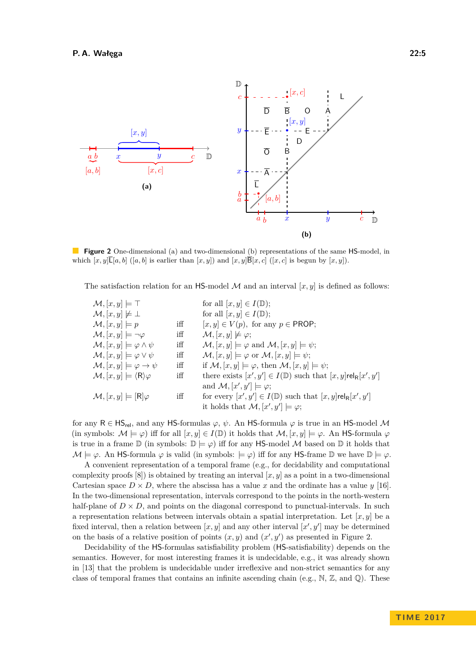<span id="page-4-0"></span>

**Figure 2** One-dimensional [\(a\)](#page-4-0) and two-dimensional [\(b\)](#page-4-0) representations of the same HS-model, in which  $[x, y] \overline{L}[a, b]$  ([a, b] is earlier than  $[x, y]$ ) and  $[x, y] \overline{B}[x, c]$  ([x, c] is begun by [x, y]).

The satisfaction relation for an HS-model  $M$  and an interval  $[x, y]$  is defined as follows:

| $\mathcal{M}, [x, y] \models \top$                               |     | for all $[x, y] \in I(\mathbb{D});$                                                      |
|------------------------------------------------------------------|-----|------------------------------------------------------------------------------------------|
| $\mathcal{M}, [x, y] \not\models \bot$                           |     | for all $[x, y] \in I(\mathbb{D});$                                                      |
| $\mathcal{M}, [x, y] \models p$                                  | iff | $[x, y] \in V(p)$ , for any $p \in \text{PROP}$ ;                                        |
| $\mathcal{M}, [x, y] \models \neg \varphi$                       | iff | $\mathcal{M}, [x, y] \not\models \varphi;$                                               |
| $\mathcal{M}, [x, y] \models \varphi \land \psi$                 | iff | $\mathcal{M}, [x, y] \models \varphi$ and $\mathcal{M}, [x, y] \models \psi;$            |
| $\mathcal{M}, [x, y] \models \varphi \vee \psi$                  | iff | $\mathcal{M}, [x, y] \models \varphi$ or $\mathcal{M}, [x, y] \models \psi;$             |
| $\mathcal{M}, [x, y] \models \varphi \rightarrow \psi$           | iff | if $\mathcal{M}, [x, y] \models \varphi$ , then $\mathcal{M}, [x, y] \models \psi$ ;     |
| $\mathcal{M}, [x, y] \models \langle \mathsf{R} \rangle \varphi$ | iff | there exists $[x', y'] \in I(\mathbb{D})$ such that $[x, y]$ rel <sub>R</sub> $[x', y']$ |
|                                                                  |     | and $\mathcal{M}, [x', y'] \models \varphi;$                                             |
| $\mathcal{M}, [x, y] \models [\mathsf{R}]\varphi$                | iff | for every $[x', y'] \in I(\mathbb{D})$ such that $[x, y]$ rel <sub>R</sub> $[x', y']$    |
|                                                                  |     | it holds that $\mathcal{M}, [x', y'] \models \varphi;$                                   |

for any  $R \in HS_{rel}$ , and any HS-formulas  $\varphi$ ,  $\psi$ . An HS-formula  $\varphi$  is true in an HS-model M (in symbols:  $\mathcal{M} \models \varphi$ ) iff for all  $[x, y] \in I(\mathbb{D})$  it holds that  $\mathcal{M}, [x, y] \models \varphi$ . An HS-formula  $\varphi$ is true in a frame  $\mathbb{D}$  (in symbols:  $\mathbb{D} \models \varphi$ ) iff for any HS-model M based on  $\mathbb{D}$  it holds that  $\mathcal{M} \models \varphi$ . An HS-formula  $\varphi$  is valid (in symbols:  $\models \varphi$ ) iff for any HS-frame  $\mathbb{D}$  we have  $\mathbb{D} \models \varphi$ .

A convenient representation of a temporal frame (e.g., for decidability and computational complexity proofs [\[8\]](#page-14-2)) is obtained by treating an interval [*x, y*] as a point in a two-dimensional Cartesian space  $D \times D$ , where the abscissa has a value x and the ordinate has a value  $\gamma$  [\[16\]](#page-15-2). In the two-dimensional representation, intervals correspond to the points in the north-western half-plane of  $D \times D$ , and points on the diagonal correspond to punctual-intervals. In such a representation relations between intervals obtain a spatial interpretation. Let  $[x, y]$  be a fixed interval, then a relation between  $[x, y]$  and any other interval  $[x', y']$  may be determined on the basis of a relative position of points  $(x, y)$  and  $(x', y')$  as presented in Figure [2.](#page-4-0)

Decidability of the HS-formulas satisfiability problem (HS-satisfiability) depends on the semantics. However, for most interesting frames it is undecidable, e.g., it was already shown in [\[13\]](#page-14-0) that the problem is undecidable under irreflexive and non-strict semantics for any class of temporal frames that contains an infinite ascending chain (e.g.,  $\mathbb{N}, \mathbb{Z}$ , and  $\mathbb{Q}$ ). These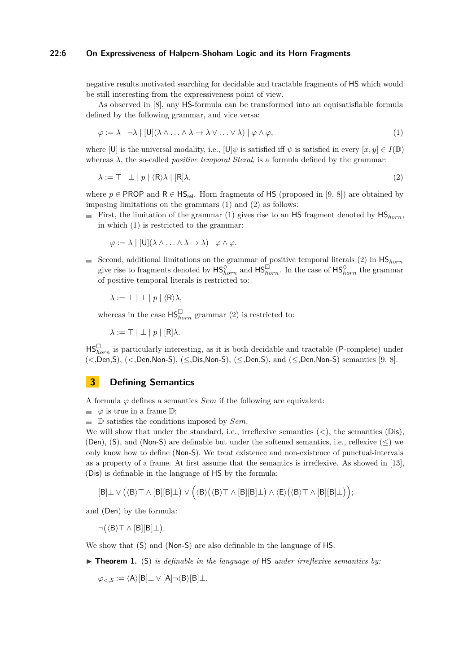#### **22:6 On Expressiveness of Halpern-Shoham Logic and its Horn Fragments**

negative results motivated searching for decidable and tractable fragments of HS which would be still interesting from the expressiveness point of view.

As observed in [\[8\]](#page-14-2), any HS-formula can be transformed into an equisatisfiable formula defined by the following grammar, and vice versa:

<span id="page-5-2"></span><span id="page-5-1"></span>
$$
\varphi := \lambda \mid \neg \lambda \mid [U](\lambda \wedge \ldots \wedge \lambda \to \lambda \vee \ldots \vee \lambda) \mid \varphi \wedge \varphi,
$$
\n<sup>(1)</sup>

where [U] is the universal modality, i.e.,  $[U]\psi$  is satisfied iff  $\psi$  is satisfied in every  $[x, y] \in I(\mathbb{D})$ whereas  $\lambda$ , the so-called *positive temporal literal*, is a formula defined by the grammar:

$$
\lambda := \top \mid \bot \mid p \mid \langle R \rangle \lambda \mid [R] \lambda,\tag{2}
$$

where  $p \in \text{PROP}$  and  $R \in \text{HS}_{\text{rel}}$ . Horn fragments of HS (proposed in [\[9,](#page-14-1) [8\]](#page-14-2)) are obtained by imposing limitations on the grammars [\(1\)](#page-5-1) and [\(2\)](#page-5-2) as follows:

First, the limitation of the grammar [\(1\)](#page-5-1) gives rise to an HS fragment denoted by  $HS_{horn}$ , in which [\(1\)](#page-5-1) is restricted to the grammar:

$$
\varphi := \lambda \mid [U](\lambda \wedge \ldots \wedge \lambda \rightarrow \lambda) \mid \varphi \wedge \varphi.
$$

Second, additional limitations on the grammar of positive temporal literals [\(2\)](#page-5-2) in HS*horn* give rise to fragments denoted by  $HS_{horn}^{\circ}$  and  $HS_{horn}^{\Box}$ . In the case of  $HS_{horn}^{\diamond}$  the grammar of positive temporal literals is restricted to:

 $\lambda := \top | \perp | p | \langle R \rangle \lambda$ ,

whereas in the case  $\mathsf{HS}_{horn}^{\square}$  grammar [\(2\)](#page-5-2) is restricted to:

 $\lambda := \top \perp \perp p \mid [R] \lambda$ .

 $\mathsf{HS}_{horn}^{\square}$  is particularly interesting, as it is both decidable and tractable (P-complete) under (*<*,Den,S), (*<*,Den,Non-S), (≤,Dis,Non-S), (≤,Den,S), and (≤,Den,Non-S) semantics [\[9,](#page-14-1) [8\]](#page-14-2).

## <span id="page-5-0"></span>**3 Defining Semantics**

A formula  $\varphi$  defines a semantics *Sem* if the following are equivalent:

 $\varphi$  is true in a frame  $\mathbb{D}$ ; m.

D satisfies the conditions imposed by *Sem*.

We will show that under the standard, i.e., irreflexive semantics  $(<)$ , the semantics  $(Dis)$ , (Den), (S), and (Non-S) are definable but under the softened semantics, i.e., reflexive  $(\leq)$  we only know how to define (Non-S). We treat existence and non-existence of punctual-intervals as a property of a frame. At first assume that the semantics is irreflexive. As showed in [\[13\]](#page-14-0), (Dis) is definable in the language of HS by the formula:

$$
[B] \bot \vee \big( \langle B \rangle \top \wedge [B][B] \bot \big) \vee \Big( \langle B \rangle \big( \langle B \rangle \top \wedge [B][B] \bot \big) \wedge \langle E \rangle \big( \langle B \rangle \top \wedge [B][B] \bot \big) \Big);
$$

and (Den) by the formula:

¬( $\langle B \rangle$ T ∧ [B][B]⊥).

We show that (S) and (Non-S) are also definable in the language of HS.

 $\triangleright$  **Theorem 1.** (S) *is definable in the language of* HS *under irreflexive semantics by:* 

 $\varphi_{\leq S} := \langle A \rangle[B] \bot \vee [A] \neg \langle B \rangle[B] \bot.$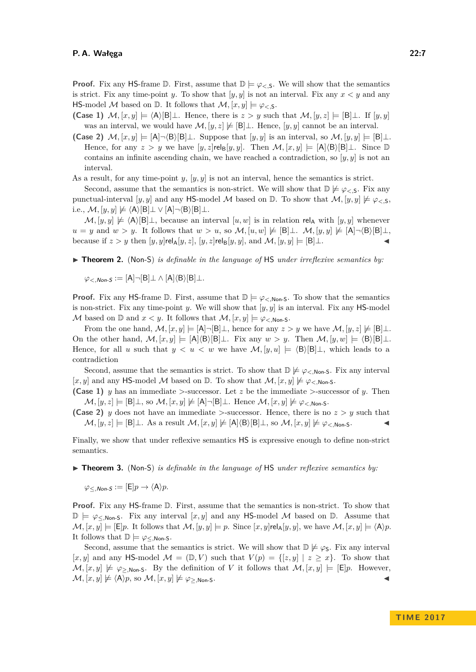**Proof.** Fix any HS-frame  $\mathbb{D}$ . First, assume that  $\mathbb{D} \models \varphi_{\leq S}$ . We will show that the semantics is strict. Fix any time-point *y*. To show that [*y, y*] is not an interval. Fix any *x < y* and any HS-model M based on  $\mathbb{D}$ . It follows that  $\mathcal{M}, [x, y] \models \varphi_{\leq, \mathsf{S}}$ .

**(Case 1)**  $\mathcal{M}, [x, y] \models \langle A \rangle[\mathsf{B}]\bot$ . Hence, there is  $z > y$  such that  $\mathcal{M}, [y, z] \models [\mathsf{B}]\bot$ . If  $[y, y]$ was an interval, we would have  $\mathcal{M}, [y, z] \not\models [\mathsf{B}] \bot$ . Hence,  $[y, y]$  cannot be an interval.

**(Case 2)**  $\mathcal{M}, [x, y] \models [A] \neg \langle B \rangle [B] \bot$ . Suppose that  $[y, y]$  is an interval, so  $\mathcal{M}, [y, y] \models [B] \bot$ . Hence, for any  $z > y$  we have  $[y, z]$ rel<sub>B</sub> $[y, y]$ . Then  $\mathcal{M}, [x, y] \models [A]\langle B\rangle[B]\bot$ . Since D contains an infinite ascending chain, we have reached a contradiction, so  $[y, y]$  is not an interval.

As a result, for any time-point *y*, [*y, y*] is not an interval, hence the semantics is strict.

Second, assume that the semantics is non-strict. We will show that  $\mathbb{D} \not\models \varphi_{\leq S}$ . Fix any punctual-interval  $[y, y]$  and any HS-model M based on D. To show that  $\mathcal{M}, [y, y] \not\models \varphi_{\leq, S}$ , i.e.,  $\mathcal{M}, [y, y] \not\models \langle A \rangle[B] \bot \vee [A] \neg \langle B \rangle[B] \bot.$ 

 $\mathcal{M}, [y, y] \not\models \langle A \rangle[\mathsf{B}]\bot$ , because an interval  $[u, w]$  is in relation rel<sub>A</sub> with  $[y, y]$  whenever  $u = y$  and  $w > y$ . It follows that  $w > u$ , so  $\mathcal{M}, [u, w] \not\models [B] \bot$ .  $\mathcal{M}, [y, y] \not\models [A] \neg \langle B \rangle [B] \bot$ , because if  $z > y$  then  $[y, y]$ rel<sub>A</sub> $[y, z]$ ,  $[y, z]$ rel<sub>B</sub> $[y, y]$ , and  $\mathcal{M}, [y, y] \models [\mathsf{B}]\bot$ .

▶ **Theorem 2.** (Non-S) *is definable in the language of* HS *under irreflexive semantics by:* 

 $\varphi$ <sub><</sub> Non-S :=  $[A] \neg [B] \perp \wedge [A] \langle B \rangle [B] \perp$ .

**Proof.** Fix any HS-frame  $\mathbb{D}$ . First, assume that  $\mathbb{D} \models \varphi_{\leq, \text{Non-S}}$ . To show that the semantics is non-strict. Fix any time-point *y*. We will show that [*y, y*] is an interval. Fix any HS-model M based on  $\mathbb D$  and  $x < y$ . It follows that  $\mathcal M, [x, y] \models \varphi_{\leq, \text{Non-S}}$ .

From the one hand,  $\mathcal{M}, [x, y] \models [A] \neg [B] \bot$ , hence for any  $z > y$  we have  $\mathcal{M}, [y, z] \not\models [B] \bot$ . On the other hand,  $\mathcal{M}, [x, y] \models [A]\langle B \rangle[B]\bot$ . Fix any  $w > y$ . Then  $\mathcal{M}, [y, w] \models \langle B \rangle[B]\bot$ . Hence, for all *u* such that  $y < u < w$  we have  $\mathcal{M}, [y, u] \models \langle B \rangle |B| \bot$ , which leads to a contradiction

Second, assume that the semantics is strict. To show that  $\mathbb{D} \not\models \varphi_{\leq, \text{Non-S}}$ . Fix any interval [*x, y*] and any HS-model M based on D. To show that  $M$ ,  $[x, y] \not\models \varphi_{\leq N \text{on-S}}$ .

**(Case 1)** *y* has an immediate *>*-successor. Let *z* be the immediate *>*-successor of *y*. Then  $\mathcal{M}, [y, z] \models [\mathsf{B}] \bot$ , so  $\mathcal{M}, [x, y] \not\models [\mathsf{A}] \neg [\mathsf{B}] \bot$ . Hence  $\mathcal{M}, [x, y] \not\models \varphi_{\leq, \mathsf{Non-S}}$ .

**(Case 2)** *y* does not have an immediate *>*-successor. Hence, there is no *z > y* such that  $\mathcal{M}, [y, z] \models [\mathsf{B}] \bot$ . As a result  $\mathcal{M}, [x, y] \not\models [\mathsf{A}]\langle\mathsf{B}\rangle[\mathsf{B}] \bot$ , so  $\mathcal{M}, [x, y] \not\models \varphi_{\leq \mathsf{Non-S}}$ .

Finally, we show that under reflexive semantics HS is expressive enough to define non-strict semantics.

► **Theorem 3.** (Non-S) *is definable in the language of* HS *under reflexive semantics by:* 

 $\varphi$ <*,Non-S* :=  $[E]p \to \langle A \rangle p$ .

**Proof.** Fix any HS-frame  $D$ . First, assume that the semantics is non-strict. To show that  $\mathbb{D} \models \varphi_{\leq N \text{on-}S}$ . Fix any interval  $[x, y]$  and any HS-model M based on  $\mathbb{D}$ . Assume that  $\mathcal{M}, [x, y] \models [\mathsf{E}]p.$  It follows that  $\mathcal{M}, [y, y] \models p.$  Since  $[x, y] \mathsf{rel}_\mathsf{A}[y, y]$ , we have  $\mathcal{M}, [x, y] \models \langle \mathsf{A} \rangle p.$ It follows that  $\mathbb{D} \models \varphi_{\leq N\text{on-S}}$ .

Second, assume that the semantics is strict. We will show that  $\mathbb{D} \not\models \varphi_{\mathsf{S}}$ . Fix any interval  $[x, y]$  and any HS-model  $\mathcal{M} = (\mathbb{D}, V)$  such that  $V(p) = \{[z, y] | z \geq x\}$ . To show that  $M, [x, y] \not\models \varphi_{\geq, \text{Non-S}}$ . By the definition of *V* it follows that  $M, [x, y] \models [\mathsf{E}]p$ . However,  $\mathcal{M}, [x, y] \not\models \langle A \rangle p$ , so  $\mathcal{M}, [x, y] \not\models \varphi_{\geq, \text{Non-S}}$ .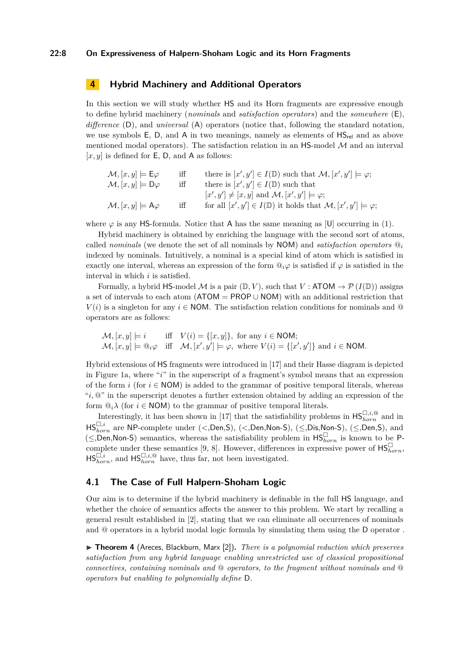#### **22:8 On Expressiveness of Halpern-Shoham Logic and its Horn Fragments**

### <span id="page-7-0"></span>**4 Hybrid Machinery and Additional Operators**

In this section we will study whether HS and its Horn fragments are expressive enough to define hybrid machinery (*nominals* and *satisfaction operators*) and the *somewhere* (E), *difference* (D), and *universal* (A) operators (notice that, following the standard notation, we use symbols  $E$ ,  $D$ , and  $A$  in two meanings, namely as elements of  $HS_{rel}$  and as above mentioned modal operators). The satisfaction relation in an  $\mathsf{HS}\text{-model}\,\mathcal{M}$  and an interval  $[x, y]$  is defined for E, D, and A as follows:

| $\mathcal{M}, [x, y] \models \mathsf{E}\varphi$ | iff | there is $[x', y'] \in I(\mathbb{D})$ such that $\mathcal{M}, [x', y'] \models \varphi;$    |
|-------------------------------------------------|-----|---------------------------------------------------------------------------------------------|
| $\mathcal{M}, [x, y] \models D\varphi$          | iff | there is $[x', y'] \in I(\mathbb{D})$ such that                                             |
|                                                 |     | $[x', y'] \neq [x, y]$ and $\mathcal{M}, [x', y'] \models \varphi;$                         |
| $\mathcal{M}, [x, y] \models \mathsf{A}\varphi$ | iff | for all $[x', y'] \in I(\mathbb{D})$ it holds that $\mathcal{M}, [x', y'] \models \varphi;$ |

where  $\varphi$  is any HS-formula. Notice that A has the same meaning as [U] occurring in [\(1\)](#page-5-1).

Hybrid machinery is obtained by enriching the language with the second sort of atoms, called *nominals* (we denote the set of all nominals by NOM) and *satisfaction operators* @*<sup>i</sup>* indexed by nominals. Intuitively, a nominal is a special kind of atom which is satisfied in exactly one interval, whereas an expression of the form  $\mathbb{Q}_i\varphi$  is satisfied if  $\varphi$  is satisfied in the interval in which *i* is satisfied.

Formally, a hybrid HS-model M is a pair  $(\mathbb{D}, V)$ , such that  $V : ATOM \to \mathcal{P}(I(\mathbb{D}))$  assigns a set of intervals to each atom ( $ATOM = PROP \cup NOM$ ) with an additional restriction that  $V(i)$  is a singleton for any  $i \in \text{NOM}$ . The satisfaction relation conditions for nominals and  $\textcircled{a}$ operators are as follows:

 $\mathcal{M}, [x, y] \models i$  iff  $V(i) = \{[x, y]\},$  for any  $i \in \text{NOM};$  $\mathcal{M}, [x, y] \models \mathbb{Q}_i \varphi$  iff  $\mathcal{M}, [x', y'] \models \varphi$ , where  $V(i) = \{[x', y']\}$  and  $i \in \mathsf{NOM}$ .

Hybrid extensions of HS fragments were introduced in [\[17\]](#page-15-0) and their Hasse diagram is depicted in Figure [1a,](#page-2-2) where "*i*" in the superscript of a fragment's symbol means that an expression of the form *i* (for  $i \in \text{NOM}$ ) is added to the grammar of positive temporal literals, whereas "*i,* @" in the superscript denotes a further extension obtained by adding an expression of the form  $\mathbb{Q}_i \lambda$  (for  $i \in \text{NOM}$ ) to the grammar of positive temporal literals.

Interestingly, it has been shown in [\[17\]](#page-15-0) that the satisfiability problems in  $HS_{horn}^{\Box, i, @}$  and in HS*,i horn* are NP-complete under (*<*,Den,S), (*<*,Den,Non-S), (≤,Dis,Non-S), (≤,Den,S), and  $(\leq)$ Den,Non-S) semantics, whereas the satisfiability problem in  $HS_{horn}^{\square}$  is known to be P-complete under these semantics [\[9,](#page-14-1) [8\]](#page-14-2). However, differences in expressive power of  $\mathsf{HS}_{horn}^{\square}$ ,  $\mathsf{HS}_{horn}^{\square,i}$ , and  $\mathsf{HS}_{horn}^{\square,i,\mathcal{Q}}$  have, thus far, not been investigated.

#### **4.1 The Case of Full Halpern-Shoham Logic**

Our aim is to determine if the hybrid machinery is definable in the full HS language, and whether the choice of semantics affects the answer to this problem. We start by recalling a general result established in [\[2\]](#page-14-12), stating that we can eliminate all occurrences of nominals and @ operators in a hybrid modal logic formula by simulating them using the D operator .

<span id="page-7-1"></span>▶ **Theorem 4** (Areces, Blackburn, Marx [\[2\]](#page-14-12)). *There is a polynomial reduction which preserves satisfaction from any hybrid language enabling unrestricted use of classical propositional connectives, containing nominals and* @ *operators, to the fragment without nominals and* @ *operators but enabling to polynomially define* D*.*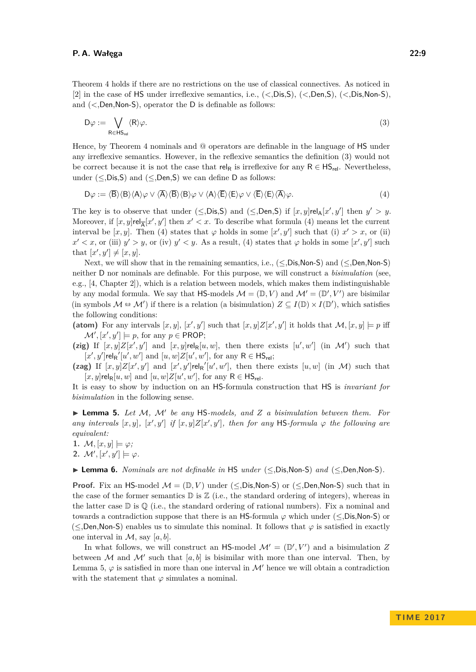Theorem [4](#page-7-1) holds if there are no restrictions on the use of classical connectives. As noticed in [\[2\]](#page-14-12) in the case of HS under irreflexive semantics, i.e., (*<*,Dis,S), (*<*,Den,S), (*<*,Dis,Non-S), and (*<*,Den,Non-S), operator the D is definable as follows:

<span id="page-8-0"></span>
$$
D\varphi := \bigvee_{R \in HS_{rel}} \langle R \rangle \varphi. \tag{3}
$$

Hence, by Theorem [4](#page-7-1) nominals and @ operators are definable in the language of HS under any irreflexive semantics. However, in the reflexive semantics the definition [\(3\)](#page-8-0) would not be correct because it is not the case that rel<sub>R</sub> is irreflexive for any  $R \in HS_{rel}$ . Nevertheless, under ( $\leq$ ,Dis,S) and ( $\leq$ ,Den,S) we can define D as follows:

<span id="page-8-1"></span>
$$
D\varphi := \langle \overline{B} \rangle \langle B \rangle \langle A \rangle \varphi \vee \langle \overline{A} \rangle \langle \overline{B} \rangle \langle B \rangle \varphi \vee \langle A \rangle \langle \overline{E} \rangle \langle E \rangle \varphi \vee \langle \overline{E} \rangle \langle E \rangle \langle \overline{A} \rangle \varphi.
$$
 (4)

The key is to observe that under  $(\leq, \text{Dis}, \text{S})$  and  $(\leq, \text{Den}, \text{S})$  if  $[x, y]$ rel<sub>A</sub> $[x', y']$  then  $y' > y$ . Moreover, if  $[x, y]$ rel<sub> $\overline{A}$ </sub> $[x', y']$  then  $x' < x$ . To describe what formula [\(4\)](#page-8-1) means let the current interval be [x, y]. Then [\(4\)](#page-8-1) states that  $\varphi$  holds in some [x', y'] such that (i)  $x' > x$ , or (ii)  $x' < x$ , or (iii)  $y' > y$ , or (iv)  $y' < y$ . As a result, [\(4\)](#page-8-1) states that  $\varphi$  holds in some  $[x', y']$  such that  $[x', y'] \neq [x, y]$ .

Next, we will show that in the remaining semantics, i.e.,  $(\leq, Dis, Non-S)$  and  $(\leq, Den, Non-S)$ neither D nor nominals are definable. For this purpose, we will construct a *bisimulation* (see, e.g., [\[4,](#page-14-13) Chapter 2]), which is a relation between models, which makes them indistinguishable by any modal formula. We say that  $\mathsf{HS}\text{-models } \mathcal{M} = (\mathbb{D}, V)$  and  $\mathcal{M}' = (\mathbb{D}', V')$  are bisimilar (in symbols  $\mathcal{M} \cong \mathcal{M}'$ ) if there is a relation (a bisimulation)  $Z \subseteq I(\mathbb{D}) \times I(\mathbb{D}')$ , which satisfies the following conditions:

(atom) For any intervals  $[x, y]$ ,  $[x', y']$  such that  $[x, y]Z[x', y']$  it holds that  $\mathcal{M}, [x, y] \models p$  iff  $\mathcal{M}', [x', y'] \models p$ , for any  $p \in \textsf{PROP};$ 

(zig) If  $[x, y]Z[x', y']$  and  $[x, y]$ rel<sub>R</sub> $[u, w]$ , then there exists  $[u', w']$  (in M') such that  $[x', y']$ rel<sub>R</sub>' $[u', w']$  and  $[u, w]Z[u', w']$ , for any R  $\in$  HS<sub>rel</sub>;

(zag) If  $[x, y]Z[x', y']$  and  $[x', y']$ rel<sub>R</sub>'[u',w'], then there exists [u,w] (in M) such that  $[x, y]$ rel<sub>R</sub> $[u, w]$  and  $[u, w]Z[u', w']$ , for any  $R \in HS_{rel}$ .

It is easy to show by induction on an HS-formula construction that HS is *invariant for bisimulation* in the following sense.

<span id="page-8-2"></span>▶ Lemma 5. *Let M*, *M' be any* HS-models, and *Z a bisimulation between them. For any* intervals  $[x, y]$ ,  $[x', y']$  if  $[x, y]Z[x', y']$ , then for any HS-formula  $\varphi$  the following are *equivalent:*

1.  $\mathcal{M}, [x, y] \models \varphi;$ 

**2.**  $\mathcal{M}', [x', y'] \models \varphi$ .

<span id="page-8-3"></span>I **Lemma 6.** *Nominals are not definable in* HS *under* (≤,Dis,Non-S) *and* (≤,Den,Non-S)*.*

**Proof.** Fix an HS-model  $\mathcal{M} = (\mathbb{D}, V)$  under (<,Dis,Non-S) or (<,Den,Non-S) such that in the case of the former semantics  $\mathbb{D}$  is  $\mathbb{Z}$  (i.e., the standard ordering of integers), whereas in the latter case  $\mathbb D$  is  $\mathbb Q$  (i.e., the standard ordering of rational numbers). Fix a nominal and towards a contradiction suppose that there is an HS-formula *ϕ* which under (≤,Dis,Non-S) or (≤,Den,Non-S) enables us to simulate this nominal. It follows that *ϕ* is satisfied in exactly one interval in  $\mathcal{M}$ , say [a, b].

In what follows, we will construct an HS-model  $\mathcal{M}' = (\mathbb{D}', V')$  and a bisimulation *Z* between M and M' such that  $[a, b]$  is bisimilar with more than one interval. Then, by Lemma [5,](#page-8-2)  $\varphi$  is satisfied in more than one interval in M' hence we will obtain a contradiction with the statement that  $\varphi$  simulates a nominal.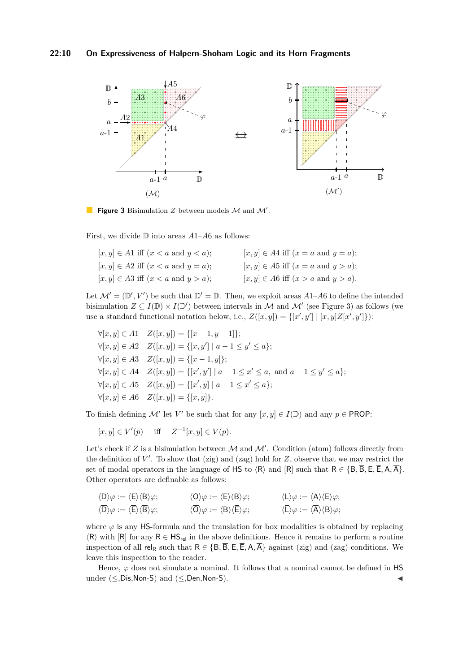#### **22:10 On Expressiveness of Halpern-Shoham Logic and its Horn Fragments**

<span id="page-9-0"></span>

Figure 3 Bisimulation  $Z$  between models  $M$  and  $M'$ .

First, we divide D into areas *A*1–*A*6 as follows:

| $[x, y] \in A1$ iff $(x < a$ and $y < a$ ); | $[x, y] \in A4$ iff $(x = a$ and $y = a)$ ; |  |
|---------------------------------------------|---------------------------------------------|--|
| $[x, y] \in A2$ iff $(x < a$ and $y = a)$ ; | $[x, y] \in A5$ iff $(x = a$ and $y > a)$ ; |  |
| $[x, y] \in A3$ iff $(x < a$ and $y > a)$ ; | $[x, y] \in A6$ iff $(x > a$ and $y > a$ ). |  |

Let  $\mathcal{M}' = (\mathbb{D}', V')$  be such that  $\mathbb{D}' = \mathbb{D}$ . Then, we exploit areas  $A1-A6$  to define the intended bisimulation  $Z \subseteq I(\mathbb{D}) \times I(\mathbb{D}')$  between intervals in M and M' (see Figure [3\)](#page-9-0) as follows (we use a standard functional notation below, i.e.,  $Z([x,y]) = \{[x',y'] \mid [x,y]Z[x',y']\}$ :

$$
\forall [x, y] \in A1 \quad Z([x, y]) = \{[x - 1, y - 1]\};
$$
  
\n
$$
\forall [x, y] \in A2 \quad Z([x, y]) = \{[x, y'] \mid a - 1 \le y' \le a\};
$$
  
\n
$$
\forall [x, y] \in A3 \quad Z([x, y]) = \{[x - 1, y]\};
$$
  
\n
$$
\forall [x, y] \in A4 \quad Z([x, y]) = \{[x', y'] \mid a - 1 \le x' \le a, \text{ and } a - 1 \le y' \le a\};
$$
  
\n
$$
\forall [x, y] \in A5 \quad Z([x, y]) = \{[x', y] \mid a - 1 \le x' \le a\};
$$
  
\n
$$
\forall [x, y] \in A6 \quad Z([x, y]) = \{[x, y]\}.
$$

To finish defining  $\mathcal{M}'$  let  $V'$  be such that for any  $[x, y] \in I(\mathbb{D})$  and any  $p \in \mathsf{PROP}$ :

 $[x, y] \in V'(p)$  iff  $Z^{-1}[x, y] \in V(p)$ .

Let's check if  $Z$  is a bisimulation between  $\mathcal M$  and  $\mathcal M'$ . Condition (atom) follows directly from the definition of  $V'$ . To show that (zig) and (zag) hold for  $Z$ , observe that we may restrict the set of modal operators in the language of HS to  $\langle R \rangle$  and  $\langle R \rangle$  such that  $R \in \{B, \overline{B}, E, \overline{E}, A, \overline{A}\}.$ Other operators are definable as follows:

$$
\langle D \rangle \varphi := \langle E \rangle \langle B \rangle \varphi; \qquad \langle O \rangle \varphi := \langle E \rangle \langle \overline{B} \rangle \varphi; \qquad \langle L \rangle \varphi := \langle A \rangle \langle E \rangle \varphi; \n\langle \overline{D} \rangle \varphi := \langle \overline{E} \rangle \langle \overline{B} \rangle \varphi; \qquad \langle \overline{O} \rangle \varphi := \langle B \rangle \langle \overline{E} \rangle \varphi; \qquad \langle \overline{L} \rangle \varphi := \langle \overline{A} \rangle \langle B \rangle \varphi;
$$

where  $\varphi$  is any HS-formula and the translation for box modalities is obtained by replacing  $\langle R \rangle$  with  $[R]$  for any  $R \in HS_{rel}$  in the above definitions. Hence it remains to perform a routine inspection of all rel<sub>R</sub> such that  $R \in \{B, \overline{B}, E, \overline{E}, A, \overline{A}\}$  against (zig) and (zag) conditions. We leave this inspection to the reader.

Hence,  $\varphi$  does not simulate a nominal. It follows that a nominal cannot be defined in HS under ( $\leq$ ,Dis,Non-S) and ( $\leq$ ,Den,Non-S).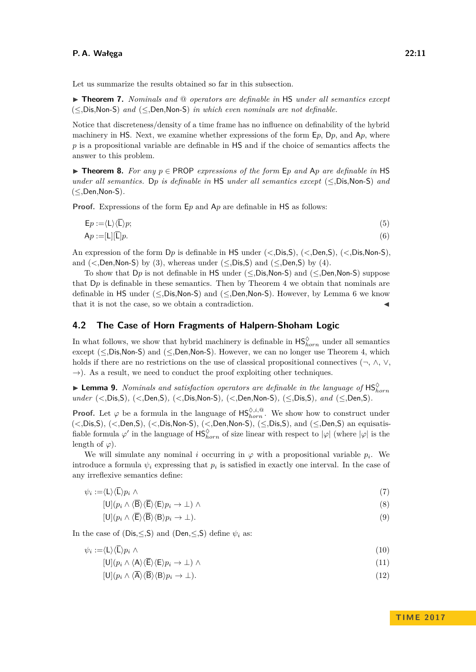Let us summarize the results obtained so far in this subsection.

I **Theorem 7.** *Nominals and* @ *operators are definable in* HS *under all semantics except* (≤,Dis,Non-S) *and* (≤,Den,Non-S) *in which even nominals are not definable.*

Notice that discreteness/density of a time frame has no influence on definability of the hybrid machinery in HS. Next, we examine whether expressions of the form E*p*, D*p*, and A*p*, where *p* is a propositional variable are definable in HS and if the choice of semantics affects the answer to this problem.

**► Theorem 8.** For any  $p \in \text{PROP}$  expressions of the form  $Ep$  and  $Ap$  are definable in HS *under all semantics.* D*p is definable in* HS *under all semantics except* (≤,Dis,Non-S) *and* (≤,Den,Non-S)*.*

**Proof.** Expressions of the form E*p* and A*p* are definable in HS as follows:

<span id="page-10-5"></span>
$$
\mathsf{E}p := \langle \mathsf{L} \rangle \langle \overline{\mathsf{L}} \rangle p; \tag{5}
$$

 $Ap := [L][\overline{L}]p.$  (6)

An expression of the form D*p* is definable in HS under (*<*,Dis,S), (*<*,Den,S), (*<*,Dis,Non-S), and  $(*Q*),$  Non-S) by  $(3)$ , whereas under  $(*Q*),$  and  $(*Q*),$  by  $(4)$ .

To show that D*p* is not definable in HS under (≤,Dis,Non-S) and (≤,Den,Non-S) suppose that D*p* is definable in these semantics. Then by Theorem [4](#page-7-1) we obtain that nominals are definable in HS under  $(\leq, Dis, Non-S)$  and  $(\leq, Den, Non-S)$ . However, by Lemma [6](#page-8-3) we know that it is not the case, so we obtain a contradiction.

#### **4.2 The Case of Horn Fragments of Halpern-Shoham Logic**

In what follows, we show that hybrid machinery is definable in  $\mathsf{HS}_{horn}^{\lozenge}$  under all semantics except  $(\leq, Dis, Non-S)$  and  $(\leq, Den, Non-S)$ . However, we can no longer use Theorem [4,](#page-7-1) which holds if there are no restrictions on the use of classical propositional connectives ( $\neg$ ,  $\wedge$ ,  $\vee$ ,  $\rightarrow$ ). As a result, we need to conduct the proof exploiting other techniques.

**I Lemma 9.** *Nominals and satisfaction operators are definable in the language of*  $HS_{horn}^{\diamond}$ *under* (*<*,Dis,S)*,* (*<*,Den,S)*,* (*<*,Dis,Non-S)*,* (*<*,Den,Non-S)*,* (≤,Dis,S)*, and* (≤,Den,S)*.*

**Proof.** Let  $\varphi$  be a formula in the language of  $\mathsf{HS}_{horn}^{\lozenge, i, \mathcal{Q}}$ . We show how to construct under (*<*,Dis,S), (*<*,Den,S), (*<*,Dis,Non-S), (*<*,Den,Non-S), (≤,Dis,S), and (≤,Den,S) an equisatisfiable formula  $\varphi'$  in the language of  $\mathsf{HS}_{horn}^{\Diamond}$  of size linear with respect to  $|\varphi|$  (where  $|\varphi|$  is the length of  $\varphi$ ).

We will simulate any nominal *i* occurring in  $\varphi$  with a propositional variable  $p_i$ . We introduce a formula  $\psi_i$  expressing that  $p_i$  is satisfied in exactly one interval. In the case of any irreflexive semantics define:

$$
\psi_i := \langle L \rangle \langle \overline{L} \rangle p_i \wedge \tag{7}
$$

<span id="page-10-2"></span><span id="page-10-1"></span><span id="page-10-0"></span>
$$
[U](p_i \wedge \langle B \rangle \langle E \rangle \langle E \rangle p_i \to \bot) \wedge \tag{8}
$$

$$
[U](p_i \wedge \langle \overline{E} \rangle \langle B \rangle / B \rangle p_i \to \bot).
$$
\n(9)

In the case of (Dis,  $\leq$ , S) and (Den,  $\leq$ , S) define  $\psi_i$  as:

$$
\psi_i := \langle L \rangle \langle \overline{L} \rangle p_i \wedge \tag{10}
$$

$$
[U](p_i \wedge \langle A \rangle \langle \overline{E} \rangle \langle E \rangle p_i \to \bot) \wedge \tag{11}
$$

<span id="page-10-4"></span><span id="page-10-3"></span> $[U](p_i \wedge \langle \overline{A} \rangle \langle \overline{B} \rangle \langle B \rangle p_i \rightarrow \bot).$  (12)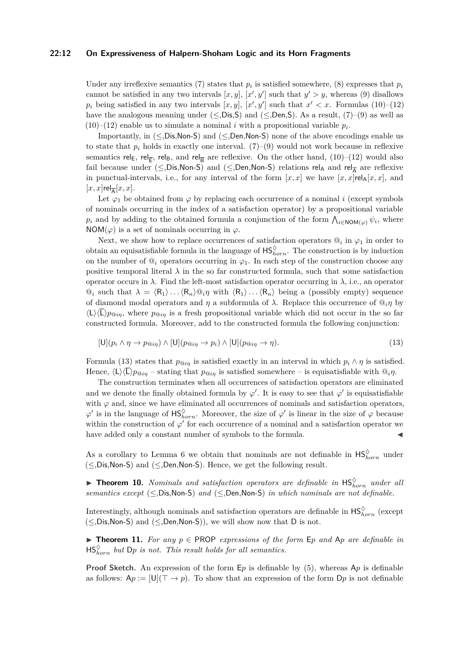#### **22:12 On Expressiveness of Halpern-Shoham Logic and its Horn Fragments**

Under any irreflexive semantics [\(7\)](#page-10-0) states that  $p_i$  is satisfied somewhere, [\(8\)](#page-10-1) expresses that  $p_i$ cannot be satisfied in any two intervals  $[x, y]$ ,  $[x', y']$  such that  $y' > y$ , whereas [\(9\)](#page-10-2) disallows  $p_i$  being satisfied in any two intervals  $[x, y]$ ,  $[x', y']$  such that  $x' < x$ . Formulas [\(10\)](#page-10-3)–[\(12\)](#page-10-4) have the analogous meaning under ( $\leq$ ,Dis,S) and ( $\leq$ ,Den,S). As a result, [\(7\)](#page-10-0)–[\(9\)](#page-10-2) as well as  $(10)$ – $(12)$  enable us to simulate a nominal *i* with a propositional variable  $p_i$ .

Importantly, in  $(\leq, \text{Dis}, \text{Non-S})$  and  $(\leq, \text{Den}, \text{Non-S})$  none of the above encodings enable us to state that  $p_i$  holds in exactly one interval. [\(7\)](#page-10-0)–[\(9\)](#page-10-2) would not work because in reflexive semantics  $\mathsf{rel}_\mathsf{E}$ ,  $\mathsf{rel}_\mathsf{E}$ ,  $\mathsf{rel}_\mathsf{B}$ , and  $\mathsf{rel}_\mathsf{B}^-$  are reflexive. On the other hand,  $(10)–(12)$  $(10)–(12)$  $(10)–(12)$  would also fail because under (≤,Dis,Non-S) and (≤,Den,Non-S) relations  $\mathsf{rel}_\mathsf{A}$  and  $\mathsf{rel}_\mathsf{A}^-$  are reflexive in punctual-intervals, i.e., for any interval of the form  $[x, x]$  we have  $[x, x]$ rel<sub>A</sub> $[x, x]$ , and  $[x, x]$ rel<sub> $\overline{A}$ </sub> $[x, x]$ .

Let  $\varphi_1$  be obtained from  $\varphi$  by replacing each occurrence of a nominal *i* (except symbols of nominals occurring in the index of a satisfaction operator) by a propositional variable  $p_i$  and by adding to the obtained formula a conjunction of the form  $\bigwedge_{i\in\text{NOM}(\varphi)}\psi_i$ , where  $NOM(\varphi)$  is a set of nominals occurring in  $\varphi$ .

Next, we show how to replace occurrences of satisfaction operators  $\mathbb{Q}_i$  in  $\varphi_1$  in order to obtain an equisatisfiable formula in the language of  $HS_{horn}^{\diamond}$ . The construction is by induction on the number of  $\mathbb{Q}_i$  operators occurring in  $\varphi_1$ . In each step of the construction choose any positive temporal literal  $\lambda$  in the so far constructed formula, such that some satisfaction operator occurs in  $\lambda$ . Find the left-most satisfaction operator occurring in  $\lambda$ , i.e., an operator  $\mathbb{Q}_i$  such that  $\lambda = \langle R_1 \rangle \dots \langle R_n \rangle \mathbb{Q}_i \eta$  with  $\langle R_1 \rangle \dots \langle R_n \rangle$  being a (possibly empty) sequence of diamond modal operators and *η* a subformula of *λ*. Replace this occurrence of @*iη* by  $\langle L \rangle \langle \overline{L} \rangle p_{\otimes i\eta}$ , where  $p_{\otimes i\eta}$  is a fresh propositional variable which did not occur in the so far constructed formula. Moreover, add to the constructed formula the following conjunction:

<span id="page-11-0"></span>
$$
[U](p_i \wedge \eta \to p_{@i\eta}) \wedge [U](p_{@i\eta} \to p_i) \wedge [U](p_{@i\eta} \to \eta).
$$
\n
$$
(13)
$$

Formula [\(13\)](#page-11-0) states that  $p_{@ip}$  is satisfied exactly in an interval in which  $p_i \wedge \eta$  is satisfied. Hence,  $\langle L \rangle \langle \overline{L} \rangle p_{\otimes i\eta}$  – stating that  $p_{\otimes i\eta}$  is satisfied somewhere – is equisatisfiable with  $\mathbb{Q}_i\eta$ .

The construction terminates when all occurrences of satisfaction operators are eliminated and we denote the finally obtained formula by  $\varphi'$ . It is easy to see that  $\varphi'$  is equisatisfiable with  $\varphi$  and, since we have eliminated all occurrences of nominals and satisfaction operators,  $\varphi'$  is in the language of  $\mathsf{HS}_{horn}^{\lozenge}$ . Moreover, the size of  $\varphi'$  is linear in the size of  $\varphi$  because within the construction of  $\varphi'$  for each occurrence of a nominal and a satisfaction operator we have added only a constant number of symbols to the formula.

As a corollary to Lemma [6](#page-8-3) we obtain that nominals are not definable in  $HS_{horn}^{\lozenge}$  under  $(\leq, \text{Dis}, \text{Non-S})$  and  $(\leq, \text{Den}, \text{Non-S})$ . Hence, we get the following result.

**Theorem 10.** *Nominals and satisfaction operators are definable in*  $HS_{horn}^{\lozenge}$  *under all semantics except* (≤,Dis,Non-S) *and* (≤,Den,Non-S) *in which nominals are not definable.*

Interestingly, although nominals and satisfaction operators are definable in  $\mathsf{HS}^\lozenge_{horn}$  (except  $(\leq, Dis, Non-S)$  and  $(\leq, Den, Non-S)$ , we will show now that D is not.

<span id="page-11-1"></span>**► Theorem 11.** For any  $p \in \text{PROP}$  expressions of the form  $E_p$  and  $Ap$  are definable in  $\mathsf{HS}_{horn}^{\lozenge}$  *but*  $\mathsf{D}p$  *is not. This result holds for all semantics.* 

**Proof Sketch.** An expression of the form  $E_p$  is definable by [\(5\)](#page-10-5), whereas A<sub>p</sub> is definable as follows:  $Ap := [U](\top \rightarrow p)$ . To show that an expression of the form Dp is not definable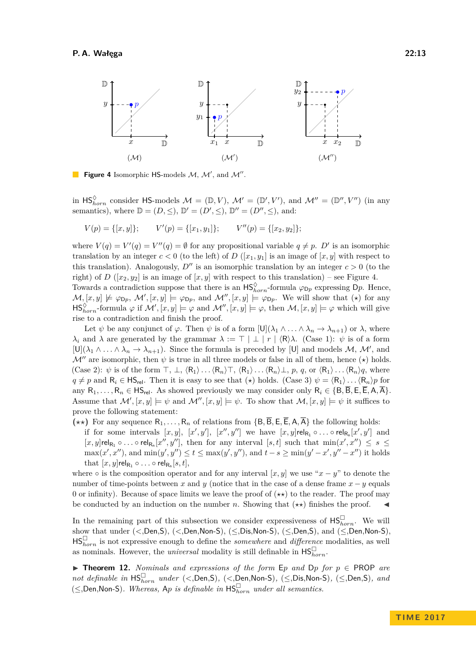<span id="page-12-0"></span>

Figure 4 Isomorphic HS-models  $M$ ,  $M'$ , and  $M''$ .

in  $\mathsf{HS}_{horn}^{\lozenge}$  consider  $\mathsf{HS}\text{-models }\mathcal{M} = (\mathbb{D}, V), \mathcal{M}' = (\mathbb{D}', V')$ , and  $\mathcal{M}'' = (\mathbb{D}'', V'')$  (in any semantics), where  $\mathbb{D} = (D, \leq), \mathbb{D}' = (D', \leq), \mathbb{D}'' = (D'', \leq),$  and:

$$
V(p) = \{ [x, y] \}; \qquad V'(p) = \{ [x_1, y_1] \}; \qquad V''(p) = \{ [x_2, y_2] \};
$$

where  $V(q) = V'(q) = V''(q) = \emptyset$  for any propositional variable  $q \neq p$ . *D'* is an isomorphic translation by an integer  $c < 0$  (to the left) of *D* ([ $x_1, y_1$ ] is an image of [ $x, y$ ] with respect to this translation). Analogously,  $D''$  is an isomorphic translation by an integer  $c > 0$  (to the right) of *D* ([ $x_2, y_2$ ] is an image of [ $x, y$ ] with respect to this translation) – see Figure [4.](#page-12-0)

Towards a contradiction suppose that there is an  $\text{HS}_{horn}^{\lozenge}$ -formula  $\varphi_{Dp}$  expressing  $Dp$ . Hence,  $\mathcal{M}, [x, y] \not\models \varphi_{\mathsf{D}p}, \mathcal{M}', [x, y] \models \varphi_{\mathsf{D}p}, \text{ and } \mathcal{M}'', [x, y] \models \varphi_{\mathsf{D}p}.$  We will show that  $(\star)$  for any  $\text{HS}_{horn}^{\Diamond}$ -formula  $\varphi$  if  $\mathcal{M}', [x, y] \models \varphi$  and  $\mathcal{M}'', [x, y] \models \varphi$ , then  $\mathcal{M}, [x, y] \models \varphi$  which will give rise to a contradiction and finish the proof.

Let  $\psi$  be any conjunct of  $\varphi$ . Then  $\psi$  is of a form  $[U](\lambda_1 \wedge \ldots \wedge \lambda_n \to \lambda_{n+1})$  or  $\lambda$ , where *λ*<sub>*i*</sub> and *λ* are generated by the grammar  $\lambda := \top | \bot | r | \langle R \rangle \lambda$ . (Case 1): *ψ* is of a form  $[U](\lambda_1 \wedge \ldots \wedge \lambda_n \to \lambda_{n+1})$ . Since the formula is preceded by [U] and models M, M', and  $\mathcal{M}''$  are isomorphic, then  $\psi$  is true in all three models or false in all of them, hence  $(\star)$  holds.  $(Case 2): \psi$  is of the form  $\top, \bot, \langle R_1 \rangle \ldots \langle R_n \rangle \top, \langle R_1 \rangle \ldots \langle R_n \rangle \bot, p, q$ , or  $\langle R_1 \rangle \ldots \langle R_n \rangle q$ , where  $q \neq p$  and  $R_i \in \mathsf{HS}_{\mathsf{rel}}$ . Then it is easy to see that  $(\star)$  holds. (Case 3)  $\psi = \langle R_1 \rangle \dots \langle R_n \rangle p$  for any  $R_1, \ldots, R_n \in \mathsf{HS}_{\mathsf{rel}}$ . As showed previously we may consider only  $R_i \in \{B, \overline{B}, E, \overline{E}, A, \overline{A}\}$ . Assume that  $\mathcal{M}', [x, y] \models \psi$  and  $\mathcal{M}'', [x, y] \models \psi$ . To show that  $\mathcal{M}, [x, y] \models \psi$  it suffices to prove the following statement:

- $(\star \star)$  For any sequence  $R_1, \ldots, R_n$  of relations from  $\{B, \overline{B}, E, \overline{E}, A, \overline{A}\}\)$  the following holds:
	- if for some intervals  $[x, y]$ ,  $[x', y']$ ,  $[x'', y'']$  we have  $[x, y]$ rel<sub>R<sub>1</sub></sub>  $\circ \dots \circ$  rel<sub>R<sub>n</sub></sub> $[x', y']$  and  $[x, y]$ rel<sub>R<sub>1</sub></sub>  $\circ \dots \circ$  rel<sub>R<sub>n</sub></sub> $[x'', y'']$ , then for any interval [s, t] such that  $\min(x', x'') \leq s \leq$  $\max(x', x'')$ , and  $\min(y', y'') \le t \le \max(y', y'')$ , and  $t - s \ge \min(y' - x', y'' - x'')$  it holds that  $[x, y]$ rel<sub>R<sub>1</sub></sub>  $\circ \dots \circ$  rel<sub>R<sub>n</sub></sub> $[s, t]$ ,

where  $\circ$  is the composition operator and for any interval [*x, y*] we use " $x - y$ " to denote the number of time-points between *x* and *y* (notice that in the case of a dense frame  $x - y$  equals 0 or infinity). Because of space limits we leave the proof of  $(\star \star)$  to the reader. The proof may be conducted by an induction on the number *n*. Showing that  $(\star \star)$  finishes the proof.

In the remaining part of this subsection we consider expressiveness of  $HS_{horn}^{\square}$ . We will show that under (*<*,Den,S), (*<*,Den,Non-S), (≤,Dis,Non-S), (≤,Den,S), and (≤,Den,Non-S), HS *horn* is not expressive enough to define the *somewhere* and *difference* modalities, as well as nominals. However, the *universal* modality is still definable in  $HS_{horn}^{\square}$ .

I **Theorem 12.** *Nominals and expressions of the form* E*p and* D*p for p* ∈ PROP *are not definable in* HS *horn under* (*<*,Den,S)*,* (*<*,Den,Non-S)*,* (≤,Dis,Non-S)*,* (≤,Den,S)*, and* (≤,Den,Non-S)*. Whereas,* A*p is definable in* HS *horn under all semantics.*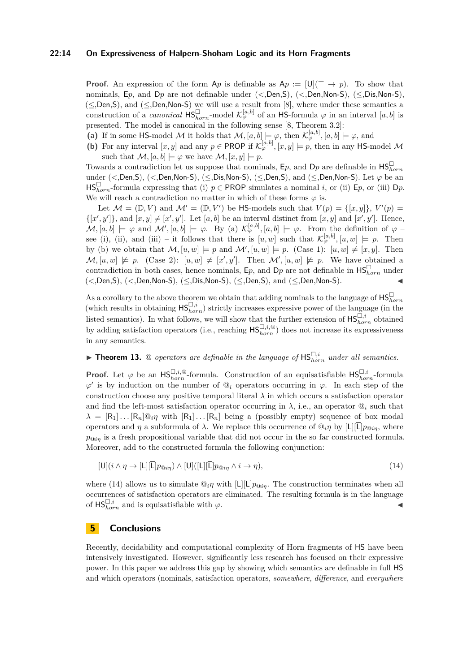#### **22:14 On Expressiveness of Halpern-Shoham Logic and its Horn Fragments**

**Proof.** An expression of the form  $Ap$  is definable as  $Ap := [U](T \rightarrow p)$ . To show that nominals, E*p*, and D*p* are not definable under (*<*,Den,S), (*<*,Den,Non-S), (≤,Dis,Non-S),  $(\leq, \text{Den}, S)$ , and  $(\leq, \text{Den}, \text{Non-S})$  we will use a result from [\[8\]](#page-14-2), where under these semantics a construction of a *canonical*  $HS_{horn}^{\Box}$ -model  $\mathcal{K}_{\varphi}^{[a,b]}$  of an HS-formula  $\varphi$  in an interval  $[a, b]$  is presented. The model is canonical in the following sense [\[8,](#page-14-2) Theorem 3.2]:

(a) If in some HS-model M it holds that  $M$ ,  $[a, b] \models \varphi$ , then  $\mathcal{K}^{[a, b]}_{\varphi}$ ,  $[a, b] \models \varphi$ , and

**(b)** For any interval  $[x, y]$  and any  $p \in \text{PROP}$  if  $\mathcal{K}_{\varphi}^{[a,b]}$ ,  $[x, y] \models p$ , then in any HS-model M such that  $\mathcal{M}, [a, b] \models \varphi$  we have  $\mathcal{M}, [x, y] \models p$ .

Towards a contradiction let us suppose that nominals,  $E_p$ , and  $D_p$  are definable in  $HS_{horn}^{\square}$ under (*<*,Den,S), (*<*,Den,Non-S), (≤,Dis,Non-S), (≤,Den,S), and (≤,Den,Non-S). Let *ϕ* be an HS<sup>□</sup><sub>*horn*</sub>-formula expressing that (i)  $p \in \text{PROP}$  simulates a nominal *i*, or (ii) E<sub>*p*</sub>, or (iii) D<sub>*p*</sub>. We will reach a contradiction no matter in which of these forms  $\varphi$  is.

Let  $\mathcal{M} = (\mathbb{D}, V)$  and  $\mathcal{M}' = (\mathbb{D}, V')$  be HS-models such that  $V(p) = \{ [x, y] \}, V'(p) =$  $\{[x', y']\}$ , and  $[x, y] \neq [x', y']$ . Let  $[a, b]$  be an interval distinct from  $[x, y]$  and  $[x', y']$ . Hence,  $\mathcal{M}, [a, b] \models \varphi \text{ and } \mathcal{M}', [a, b] \models \varphi. \text{ By (a) } \mathcal{K}_{\varphi}^{[a, b]}, [a, b] \models \varphi. \text{ From the definition of } \varphi \rightarrow$ see (i), (ii), and (iii) – it follows that there is  $[u, w]$  such that  $\mathcal{K}^{[a,b]}_{\varphi}, [u, w] \models p$ . Then by (b) we obtain that  $M$ ,  $[u, w] \models p$  and  $M'$ ,  $[u, w] \models p$ . (Case 1):  $[u, w] \neq [x, y]$ . Then  $\mathcal{M}, [u, w] \not\models p.$  (Case 2):  $[u, w] \neq [x', y']$ . Then  $\mathcal{M}', [u, w] \not\models p$ . We have obtained a contradiction in both cases, hence nominals,  $E_p$ , and  $D_p$  are not definable in  $HS_{horn}^{\square}$  under (*<*,Den,S), (*<*,Den,Non-S), (≤,Dis,Non-S), (≤,Den,S), and (≤,Den,Non-S). J

As a corollary to the above theorem we obtain that adding nominals to the language of  $HS_{horn}^{\square}$ (which results in obtaining  $HS_{horn}^{\square,i}$ ) strictly increases expressive power of the language (in the listed semantics). In what follows, we will show that the further extension of  $HS_{horn}^{\Box,i}$  obtained by adding satisfaction operators (i.e., reaching  $HS_{horn}^{\Box, i, @}$ ) does not increase its expressiveness in any semantics.

## **Findment 13.**  $\textcircled{a}$  operators are definable in the language of  $\text{HS}_{horn}^{\square,i}$  under all semantics.

**Proof.** Let  $\varphi$  be an  $\text{HS}_{horn}^{\Box,i,\textcircled{a}}$ -formula. Construction of an equisatisfiable  $\text{HS}_{horn}^{\Box,i}$ -formula *ϕ* 0 is by induction on the number of @*<sup>i</sup>* operators occurring in *ϕ*. In each step of the construction choose any positive temporal literal  $\lambda$  in which occurs a satisfaction operator and find the left-most satisfaction operator occurring in  $\lambda$ , i.e., an operator  $\mathbb{Q}_i$  such that  $\lambda = [R_1] \dots [R_n] \omega_i \eta$  with  $[R_1] \dots [R_n]$  being a (possibly empty) sequence of box modal operators and *η* a subformula of  $\lambda$ . We replace this occurrence of  $\mathcal{Q}_{i\eta}$  by  $[L][\Gamma]p_{\mathcal{Q}_{i\eta}},$  where  $p_{@in}$  is a fresh propositional variable that did not occur in the so far constructed formula. Moreover, add to the constructed formula the following conjunction:

<span id="page-13-0"></span>
$$
[U](i \wedge \eta \to [L][\overline{L}]p_{@i\eta}) \wedge [U] ([L][\overline{L}]p_{@i\eta} \wedge i \to \eta), \qquad (14)
$$

where [\(14\)](#page-13-0) allows us to simulate  $\mathbb{Q}_i \eta$  with  $[L][\overline{L}]p_{\mathbb{Q}_i n}$ . The construction terminates when all occurrences of satisfaction operators are eliminated. The resulting formula is in the language of  $\mathsf{HS}_{horn}^{\square,i}$  and is equisatisfiable with  $\varphi$ .

## **5 Conclusions**

Recently, decidability and computational complexity of Horn fragments of HS have been intensively investigated. However, significantly less research has focused on their expressive power. In this paper we address this gap by showing which semantics are definable in full HS and which operators (nominals, satisfaction operators, *somewhere*, *difference*, and *everywhere*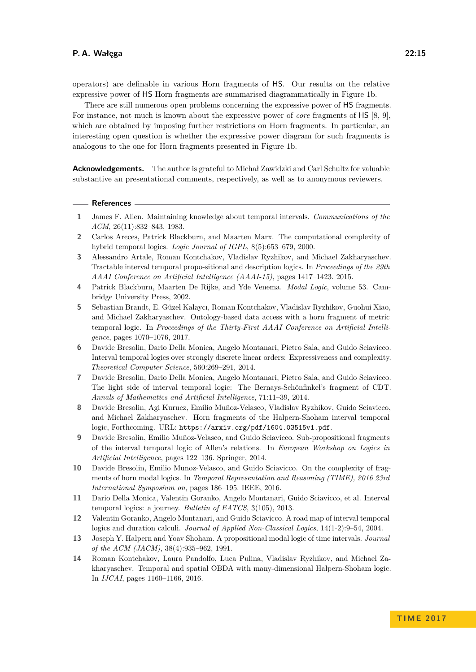operators) are definable in various Horn fragments of HS. Our results on the relative expressive power of HS Horn fragments are summarised diagrammatically in Figure [1b.](#page-2-2)

There are still numerous open problems concerning the expressive power of HS fragments. For instance, not much is known about the expressive power of *core* fragments of HS [\[8,](#page-14-2) [9\]](#page-14-1), which are obtained by imposing further restrictions on Horn fragments. In particular, an interesting open question is whether the expressive power diagram for such fragments is analogous to the one for Horn fragments presented in Figure [1b.](#page-2-2)

**Acknowledgements.** The author is grateful to Michał Zawidzki and Carl Schultz for valuable substantive an presentational comments, respectively, as well as to anonymous reviewers.

#### **References**

- <span id="page-14-5"></span>**1** James F. Allen. Maintaining knowledge about temporal intervals. *Communications of the ACM*, 26(11):832–843, 1983.
- <span id="page-14-12"></span>**2** Carlos Areces, Patrick Blackburn, and Maarten Marx. The computational complexity of hybrid temporal logics. *Logic Journal of IGPL*, 8(5):653–679, 2000.
- <span id="page-14-3"></span>**3** Alessandro Artale, Roman Kontchakov, Vladislav Ryzhikov, and Michael Zakharyaschev. Tractable interval temporal propo-sitional and description logics. In *Proceedings of the 29th AAAI Conference on Artificial Intelligence (AAAI-15)*, pages 1417–1423. 2015.
- <span id="page-14-13"></span>**4** Patrick Blackburn, Maarten De Rijke, and Yde Venema. *Modal Logic*, volume 53. Cambridge University Press, 2002.
- <span id="page-14-11"></span>**5** Sebastian Brandt, E. Güzel Kalaycı, Roman Kontchakov, Vladislav Ryzhikov, Guohui Xiao, and Michael Zakharyaschev. Ontology-based data access with a horn fragment of metric temporal logic. In *Proceedings of the Thirty-First AAAI Conference on Artificial Intelligence*, pages 1070–1076, 2017.
- <span id="page-14-8"></span>**6** Davide Bresolin, Dario Della Monica, Angelo Montanari, Pietro Sala, and Guido Sciavicco. Interval temporal logics over strongly discrete linear orders: Expressiveness and complexity. *Theoretical Computer Science*, 560:269–291, 2014.
- <span id="page-14-9"></span>**7** Davide Bresolin, Dario Della Monica, Angelo Montanari, Pietro Sala, and Guido Sciavicco. The light side of interval temporal logic: The Bernays-Schönfinkel's fragment of CDT. *Annals of Mathematics and Artificial Intelligence*, 71:11–39, 2014.
- <span id="page-14-2"></span>**8** Davide Bresolin, Agi Kurucz, Emilio Muñoz-Velasco, Vladislav Ryzhikov, Guido Sciavicco, and Michael Zakharyaschev. Horn fragments of the Halpern-Shoham interval temporal logic, Forthcoming. URL: <https://arxiv.org/pdf/1604.03515v1.pdf>.
- <span id="page-14-1"></span>**9** Davide Bresolin, Emilio Muñoz-Velasco, and Guido Sciavicco. Sub-propositional fragments of the interval temporal logic of Allen's relations. In *European Workshop on Logics in Artificial Intelligence*, pages 122–136. Springer, 2014.
- <span id="page-14-10"></span>**10** Davide Bresolin, Emilio Munoz-Velasco, and Guido Sciavicco. On the complexity of fragments of horn modal logics. In *Temporal Representation and Reasoning (TIME), 2016 23rd International Symposium on*, pages 186–195. IEEE, 2016.
- <span id="page-14-6"></span>**11** Dario Della Monica, Valentin Goranko, Angelo Montanari, Guido Sciavicco, et al. Interval temporal logics: a journey. *Bulletin of EATCS*, 3(105), 2013.
- <span id="page-14-7"></span>**12** Valentin Goranko, Angelo Montanari, and Guido Sciavicco. A road map of interval temporal logics and duration calculi. *Journal of Applied Non-Classical Logics*, 14(1-2):9–54, 2004.
- <span id="page-14-0"></span>**13** Joseph Y. Halpern and Yoav Shoham. A propositional modal logic of time intervals. *Journal of the ACM (JACM)*, 38(4):935–962, 1991.
- <span id="page-14-4"></span>**14** Roman Kontchakov, Laura Pandolfo, Luca Pulina, Vladislav Ryzhikov, and Michael Zakharyaschev. Temporal and spatial OBDA with many-dimensional Halpern-Shoham logic. In *IJCAI*, pages 1160–1166, 2016.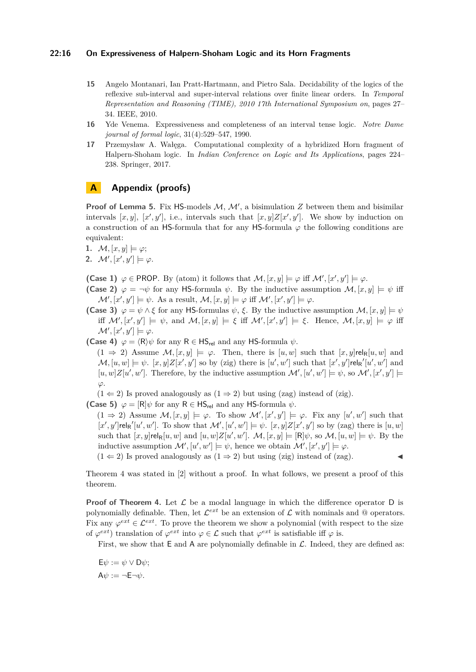#### **22:16 On Expressiveness of Halpern-Shoham Logic and its Horn Fragments**

- <span id="page-15-1"></span>**15** Angelo Montanari, Ian Pratt-Hartmann, and Pietro Sala. Decidability of the logics of the reflexive sub-interval and super-interval relations over finite linear orders. In *Temporal Representation and Reasoning (TIME), 2010 17th International Symposium on*, pages 27– 34. IEEE, 2010.
- <span id="page-15-2"></span>**16** Yde Venema. Expressiveness and completeness of an interval tense logic. *Notre Dame journal of formal logic*, 31(4):529–547, 1990.
- <span id="page-15-0"></span>**17** Przemysław A. Wałęga. Computational complexity of a hybridized Horn fragment of Halpern-Shoham logic. In *Indian Conference on Logic and Its Applications*, pages 224– 238. Springer, 2017.

## **A Appendix (proofs)**

**Proof of Lemma [5.](#page-8-2)** Fix HS-models  $M$ ,  $M'$ , a bisimulation  $Z$  between them and bisimilar intervals  $[x, y]$ ,  $[x', y']$ , i.e., intervals such that  $[x, y]Z[x', y']$ . We show by induction on a construction of an HS-formula that for any HS-formula  $\varphi$  the following conditions are equivalent:

- 1.  $\mathcal{M}, [x, y] \models \varphi;$
- **2.**  $\mathcal{M}', [x', y'] \models \varphi$ .

**(Case 1)**  $\varphi \in \text{PROP. By (atom) it follows that } \mathcal{M}, [x, y] \models \varphi \text{ iff } \mathcal{M}', [x', y'] \models \varphi.$ 

**(Case 2)**  $\varphi = \neg \psi$  for any HS-formula  $\psi$ . By the inductive assumption  $\mathcal{M}, [x, y] \models \psi$  iff  $\mathcal{M}', [x', y'] \models \psi$ . As a result,  $\mathcal{M}, [x, y] \models \varphi$  iff  $\mathcal{M}', [x', y'] \models \varphi$ .

- **(Case 3)**  $\varphi = \psi \wedge \xi$  for any HS-formulas  $\psi$ ,  $\xi$ . By the inductive assumption  $\mathcal{M}, [x, y] \models \psi$ iff  $\mathcal{M}', [x', y'] \models \psi$ , and  $\mathcal{M}, [x, y] \models \xi$  iff  $\mathcal{M}', [x', y'] \models \xi$ . Hence,  $\mathcal{M}, [x, y] \models \varphi$  iff  $\mathcal{M}', [x', y'] \models \varphi.$
- **(Case 4)**  $\varphi = \langle R \rangle \psi$  for any  $R \in HS_{rel}$  and any HS-formula  $\psi$ .

 $(1 \Rightarrow 2)$  Assume  $\mathcal{M}, [x, y] \models \varphi$ . Then, there is  $[u, w]$  such that  $[x, y]$ rel<sub>R</sub> $[u, w]$  and  $\mathcal{M}, [u, w] \models \psi$ .  $[x, y]Z[x', y']$  so by (zig) there is  $[u', w']$  such that  $[x', y']$ rel<sub>R</sub>' $[u', w']$  and  $[u, w]Z[u', w']$ . Therefore, by the inductive assumption  $\mathcal{M}', [u', w'] \models \psi$ , so  $\mathcal{M}', [x', y'] \models$ *ϕ*.

 $(1 \Leftarrow 2)$  Is proved analogously as  $(1 \Rightarrow 2)$  but using (zag) instead of (zig).

**(Case 5)**  $\varphi = [R]\psi$  for any  $R \in HS_{rel}$  and any HS-formula  $\psi$ .

 $(1 \Rightarrow 2)$  Assume  $\mathcal{M}, [x, y] \models \varphi$ . To show  $\mathcal{M}', [x', y'] \models \varphi$ . Fix any  $[u', w']$  such that  $[x', y']$ rel<sub>R</sub>' $[u', w']$ . To show that  $\mathcal{M}', [u', w'] \models \psi$ .  $[x, y]Z[x', y']$  so by (zag) there is  $[u, w]$ such that  $[x, y]$ rel<sub>R</sub> $[u, w]$  and  $[u, w]Z[u', w']$ .  $\mathcal{M}, [x, y] \models [\mathsf{R}]\psi$ , so  $\mathcal{M}, [u, w] \models \psi$ . By the inductive assumption  $\mathcal{M}', [u', w'] \models \psi$ , hence we obtain  $\mathcal{M}', [x', y'] \models \varphi$ .

 $(1 \Leftarrow 2)$  Is proved analogously as  $(1 \Rightarrow 2)$  but using (zig) instead of (zag).

Theorem [4](#page-7-1) was stated in [\[2\]](#page-14-12) without a proof. In what follows, we present a proof of this theorem.

**Proof of Theorem [4.](#page-7-1)** Let  $\mathcal{L}$  be a modal language in which the difference operator D is polynomially definable. Then, let  $\mathcal{L}^{ext}$  be an extension of  $\mathcal L$  with nominals and  $\mathcal Q$  operators. Fix any  $\varphi^{ext} \in \mathcal{L}^{ext}$ . To prove the theorem we show a polynomial (with respect to the size of  $\varphi^{ext}$ ) translation of  $\varphi^{ext}$  into  $\varphi \in \mathcal{L}$  such that  $\varphi^{ext}$  is satisfiable iff  $\varphi$  is.

First, we show that  $E$  and  $A$  are polynomially definable in  $\mathcal{L}$ . Indeed, they are defined as:

 $E\psi := \psi \vee D\psi;$  $A\psi := \neg \mathsf{E} \neg \psi.$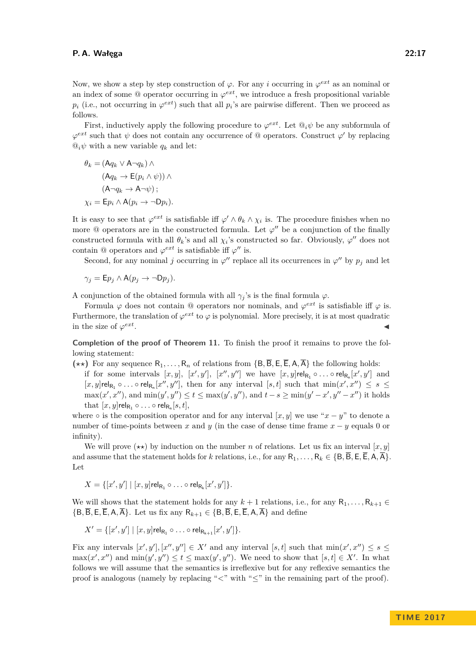Now, we show a step by step construction of  $\varphi$ . For any *i* occurring in  $\varphi^{ext}$  as an nominal or an index of some  $\mathcal Q$  operator occurring in  $\varphi^{ext}$ , we introduce a fresh propositional variable  $p_i$  (i.e., not occurring in  $\varphi^{ext}$ ) such that all  $p_i$ 's are pairwise different. Then we proceed as follows.

First, inductively apply the following procedure to  $\varphi^{ext}$ . Let  $\mathbb{Q}_i \psi$  be any subformula of  $\varphi^{ext}$  such that  $\psi$  does not contain any occurrence of @ operators. Construct  $\varphi'$  by replacing  $\mathbb{Q}_i \psi$  with a new variable  $q_k$  and let:

$$
\theta_k = (Aq_k \lor A \neg q_k) \land
$$
  
\n
$$
(Aq_k \to E(p_i \land \psi)) \land
$$
  
\n
$$
(A \neg q_k \to A \neg \psi);
$$
  
\n
$$
\chi_i = Ep_i \land A(p_i \to \neg Dp_i).
$$

It is easy to see that  $\varphi^{ext}$  is satisfiable iff  $\varphi' \wedge \theta_k \wedge \chi_i$  is. The procedure finishes when no more @ operators are in the constructed formula. Let  $\varphi''$  be a conjunction of the finally constructed formula with all  $\theta_k$ 's and all  $\chi_i$ 's constructed so far. Obviously,  $\varphi''$  does not contain  $\mathcal Q$  operators and  $\varphi^{ext}$  is satisfiable iff  $\varphi''$  is.

Second, for any nominal *j* occurring in  $\varphi''$  replace all its occurrences in  $\varphi''$  by  $p_j$  and let

$$
\gamma_j = \mathsf{E} p_j \wedge \mathsf{A}(p_j \to \neg \mathsf{D} p_j).
$$

A conjunction of the obtained formula with all  $\gamma_i$ 's is the final formula  $\varphi$ .

Formula  $\varphi$  does not contain @ operators nor nominals, and  $\varphi^{ext}$  is satisfiable iff  $\varphi$  is. Furthermore, the translation of  $\varphi^{ext}$  to  $\varphi$  is polynomial. More precisely, it is at most quadratic in the size of  $\varphi^{ext}$ . January 1980, and the contract of the contract of the contract of the contract of

**Completion of the proof of Theorem [11.](#page-11-1)** To finish the proof it remains to prove the following statement:

 $(\star \star)$  For any sequence  $R_1, \ldots, R_n$  of relations from  $\{B, \overline{B}, E, \overline{E}, A, \overline{A}\}\)$  the following holds: if for some intervals  $[x, y]$ ,  $[x', y']$ ,  $[x'', y'']$  we have  $[x, y]$ rel<sub>R<sub>1</sub></sub>  $\circ \dots \circ$  rel<sub>R<sub>n</sub></sub> $[x', y']$  and  $[x, y]$ rel<sub>R1</sub>  $\circ \dots \circ$  rel<sub>R<sub>n</sub></sub> $[x'', y'']$ , then for any interval [s, t] such that  $\min(x', x'') \leq s \leq$  $\max(x', x'')$ , and  $\min(y', y'') \le t \le \max(y', y'')$ , and  $t - s \ge \min(y' - x', y'' - x'')$  it holds that  $[x, y]$ rel<sub>R<sub>1</sub></sub>  $\circ \dots \circ$  rel<sub>R<sub>n</sub></sub> $[s, t]$ ,

where  $\circ$  is the composition operator and for any interval [*x, y*] we use " $x - y$ " to denote a number of time-points between *x* and *y* (in the case of dense time frame  $x - y$  equals 0 or infinity).

We will prove  $(\star \star)$  by induction on the number *n* of relations. Let us fix an interval [*x, y*] and assume that the statement holds for *k* relations, i.e., for any  $R_1, \ldots, R_k \in \{B, \overline{B}, E, \overline{E}, A, \overline{A}\}.$ Let

$$
X = \{ [x', y'] \mid [x, y] \mathsf{rel}_{\mathsf{R}_1} \circ \ldots \circ \mathsf{rel}_{\mathsf{R}_k}[x', y'] \}.
$$

We will shows that the statement holds for any  $k+1$  relations, i.e., for any  $R_1, \ldots, R_{k+1} \in$  ${B, \overline{B}, E, \overline{E}, A, \overline{A}}$ . Let us fix any  $R_{k+1} \in {B, \overline{B}, E, \overline{E}, A, \overline{A}}$  and define

$$
X' = \{ [x', y'] \mid [x, y] \mathsf{rel}_{\mathsf{R}_1} \circ \ldots \circ \mathsf{rel}_{\mathsf{R}_{k+1}}[x', y'] \}.
$$

Fix any intervals  $[x', y'], [x'', y''] \in X'$  and any interval  $[s, t]$  such that  $min(x', x'') \leq s \leq$  $\max(x', x'')$  and  $\min(y', y'') \le t \le \max(y', y'')$ . We need to show that  $[s, t] \in X'$ . In what follows we will assume that the semantics is irreflexive but for any reflexive semantics the proof is analogous (namely by replacing "*<*" with "≤" in the remaining part of the proof).